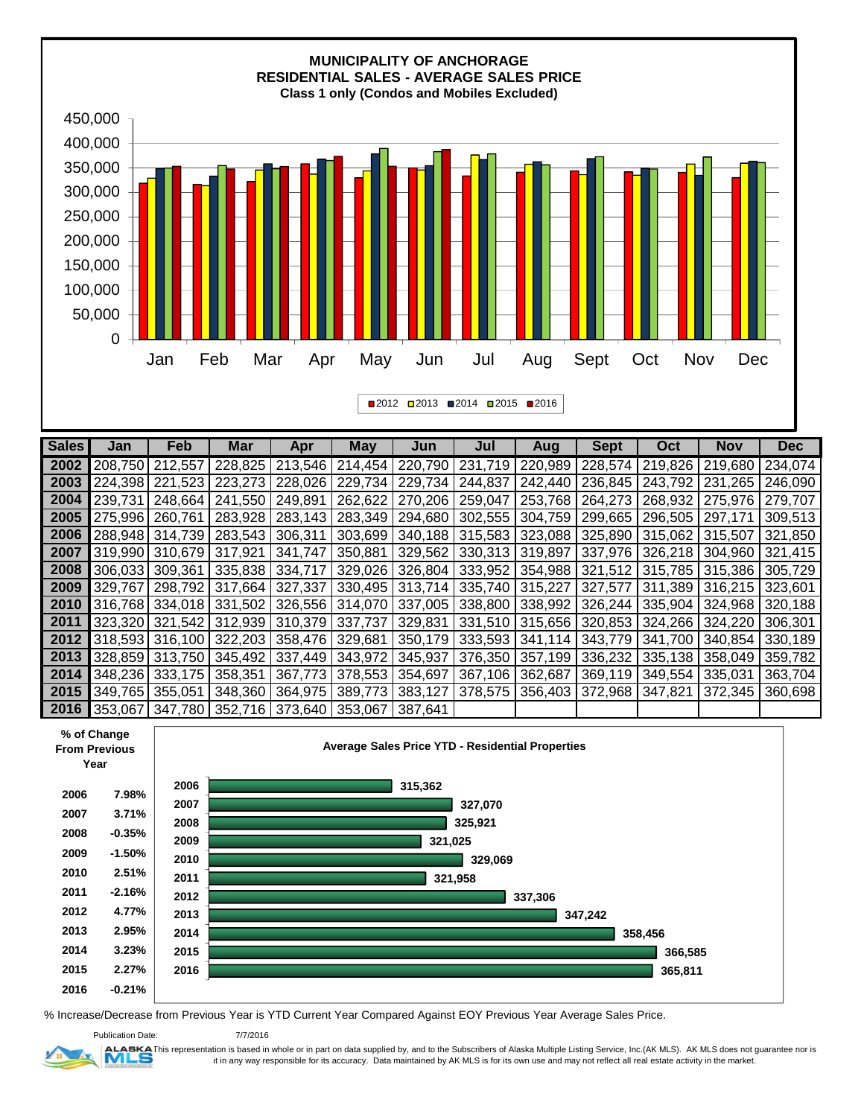

| <b>Sales</b>        | Jan     | Feb     | <b>Mar</b> | Apr                     | <b>May</b> | Jun     | Jul             | Aug     | <b>Sept</b> | Oct     | <b>Nov</b> | <b>Dec</b> |
|---------------------|---------|---------|------------|-------------------------|------------|---------|-----------------|---------|-------------|---------|------------|------------|
| 2002                | 208,750 | 212,557 | 228,825    | 213,546                 | 214,454    | 220,790 | 231,719         | 220,989 | 228,574     | 219,826 | 219,680    | 234,074    |
| 2003                | 224.398 | 221.523 | 223,273    | 228,026                 | 229,734    | 229,734 | 244,837         | 242,440 | 236,845     | 243,792 | 231.265    | 246,090    |
| 2004                | 239,731 | 248,664 | 241,550    | 249,891                 | 262,622    | 270,206 | 259,047         | 253,768 | 264,273     | 268,932 | 275,976    | 279,707    |
| 2005                | 275,996 | 260,761 | 283,928    | 283,143                 | 283,349    | 294,680 | 302,555         | 304,759 | 299,665     | 296,505 | 297,171    | 309,513    |
| 2006                | 288,948 | 314,739 | 283,543    | 306,311                 | 303,699    | 340,188 | 315,583         | 323,088 | 325,890     | 315,062 | 315,507    | 321,850    |
| 2007                | 319,990 | 310.679 | 317,921    | 341,747                 | 350,881    | 329,562 | 330,313         | 319,897 | 337,976     | 326,218 | 304,960    | 321,415    |
| 2008                | 306.033 | 309,361 | 335,838    | 334,717                 | 329,026    | 326,804 | 333,952         | 354,988 | 321,512     | 315,785 | 315,386    | 305,729    |
| 2009                | 329,767 | 298,792 | 317,664    | 327,337                 | 330,495    | 313,714 | 335,740         | 315,227 | 327,577     | 311,389 | 316,215    | 323,601    |
| 2010                | 316.768 | 334.018 | 331,502    | 326,556 314,070         |            | 337,005 | 338,800 338,992 |         | 326,244     | 335,904 | 324,968    | 320,188    |
| 2011                | 323.320 | 321,542 | 312,939    | 310,379 337,737         |            | 329,831 | 331,510         | 315,656 | 320,853     | 324,266 | 324,220    | 306,301    |
| 2012                | 318,593 | 316,100 |            | 322,203 358,476 329,681 |            | 350,179 | 333,593 341,114 |         | 343,779     | 341,700 | 340,854    | 330,189    |
| 2013                | 328,859 | 313,750 | 345,492    | 337,449                 | 343,972    | 345,937 | 376,350         | 357,199 | 336,232     | 335,138 | 358,049    | 359,782    |
| 2014                | 348.236 | 333.175 | 358,351    | 367,773 378,553         |            | 354,697 | 367,106         | 362,687 | 369,119     | 349,554 | 335,031    | 363,704    |
| 2015                | 349,765 | 355,051 | 348,360    | 364,975                 | 389,773    | 383,127 | 378,575         | 356,403 | 372,968     | 347,821 | 372,345    | 360,698    |
| $\blacksquare$ 2016 | 353.067 | 347,780 |            | 352,716 373,640 353,067 |            | 387.641 |                 |         |             |         |            |            |



% Increase/Decrease from Previous Year is YTD Current Year Compared Against EOY Previous Year Average Sales Price.



7/7/2016

ALABKA This representation is based in whole or in part on data supplied by, and to the Subscribers of Alaska Multiple Listing Service, Inc.(AK MLS). AK MLS does not guarantee nor is it in any way responsible for its accuracy. Data maintained by AK MLS is for its own use and may not reflect all real estate activity in the market.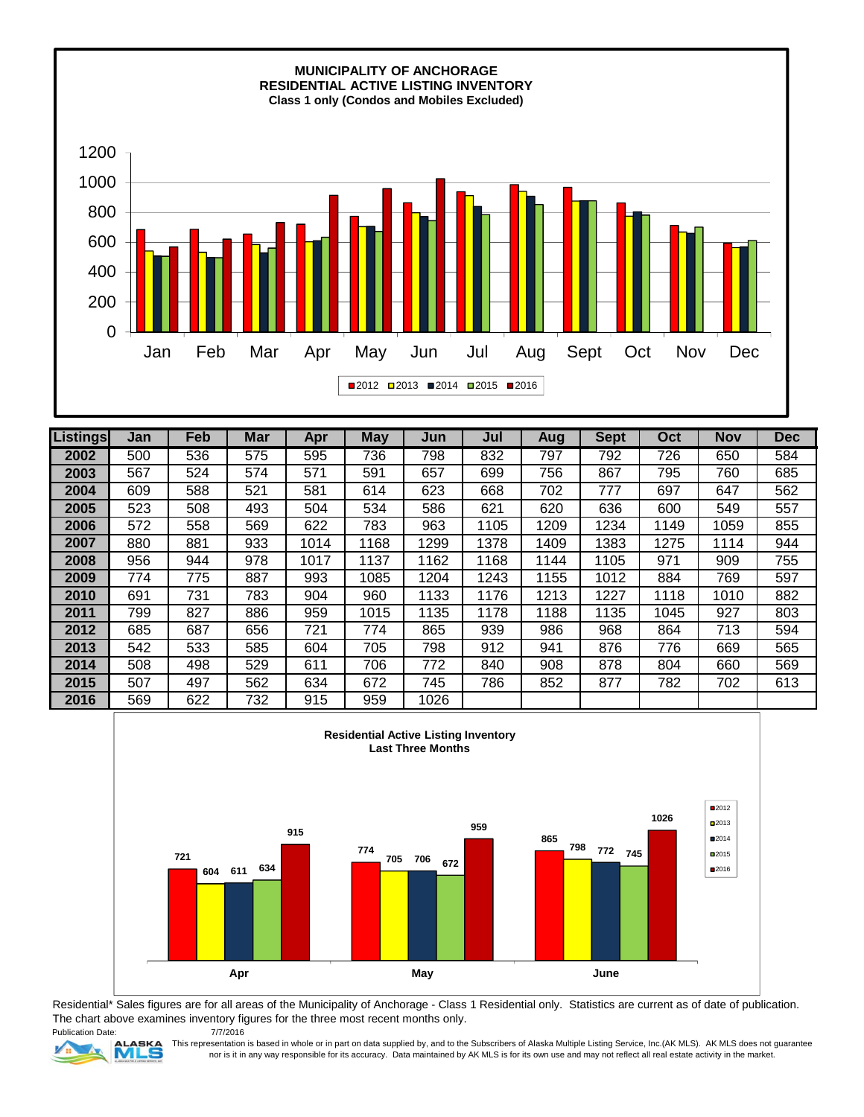

| Listings | Jan | Feb | <b>Mar</b> | Apr  | <b>May</b> | Jun  | Jul  | Aug  | <b>Sept</b> | Oct  | <b>Nov</b> | <b>Dec</b> |
|----------|-----|-----|------------|------|------------|------|------|------|-------------|------|------------|------------|
| 2002     | 500 | 536 | 575        | 595  | 736        | 798  | 832  | 797  | 792         | 726  | 650        | 584        |
| 2003     | 567 | 524 | 574        | 571  | 591        | 657  | 699  | 756  | 867         | 795  | 760        | 685        |
| 2004     | 609 | 588 | 521        | 581  | 614        | 623  | 668  | 702  | 777         | 697  | 647        | 562        |
| 2005     | 523 | 508 | 493        | 504  | 534        | 586  | 621  | 620  | 636         | 600  | 549        | 557        |
| 2006     | 572 | 558 | 569        | 622  | 783        | 963  | 1105 | 1209 | 1234        | 1149 | 1059       | 855        |
| 2007     | 880 | 881 | 933        | 1014 | 1168       | 1299 | 1378 | 1409 | 1383        | 1275 | 1114       | 944        |
| 2008     | 956 | 944 | 978        | 1017 | 1137       | 1162 | 1168 | 1144 | 1105        | 971  | 909        | 755        |
| 2009     | 774 | 775 | 887        | 993  | 1085       | 1204 | 1243 | 1155 | 1012        | 884  | 769        | 597        |
| 2010     | 691 | 731 | 783        | 904  | 960        | 1133 | 1176 | 1213 | 1227        | 1118 | 1010       | 882        |
| 2011     | 799 | 827 | 886        | 959  | 1015       | 1135 | 1178 | 1188 | 1135        | 1045 | 927        | 803        |
| 2012     | 685 | 687 | 656        | 721  | 774        | 865  | 939  | 986  | 968         | 864  | 713        | 594        |
| 2013     | 542 | 533 | 585        | 604  | 705        | 798  | 912  | 941  | 876         | 776  | 669        | 565        |
| 2014     | 508 | 498 | 529        | 611  | 706        | 772  | 840  | 908  | 878         | 804  | 660        | 569        |
| 2015     | 507 | 497 | 562        | 634  | 672        | 745  | 786  | 852  | 877         | 782  | 702        | 613        |
| 2016     | 569 | 622 | 732        | 915  | 959        | 1026 |      |      |             |      |            |            |



Publication Date: Residential\* Sales figures are for all areas of the Municipality of Anchorage - Class 1 Residential only. Statistics are current as of date of publication. The chart above examines inventory figures for the three most recent months only. 7/7/2016



This representation is based in whole or in part on data supplied by, and to the Subscribers of Alaska Multiple Listing Service, Inc.(AK MLS). AK MLS does not guarantee nor is it in any way responsible for its accuracy. Data maintained by AK MLS is for its own use and may not reflect all real estate activity in the market.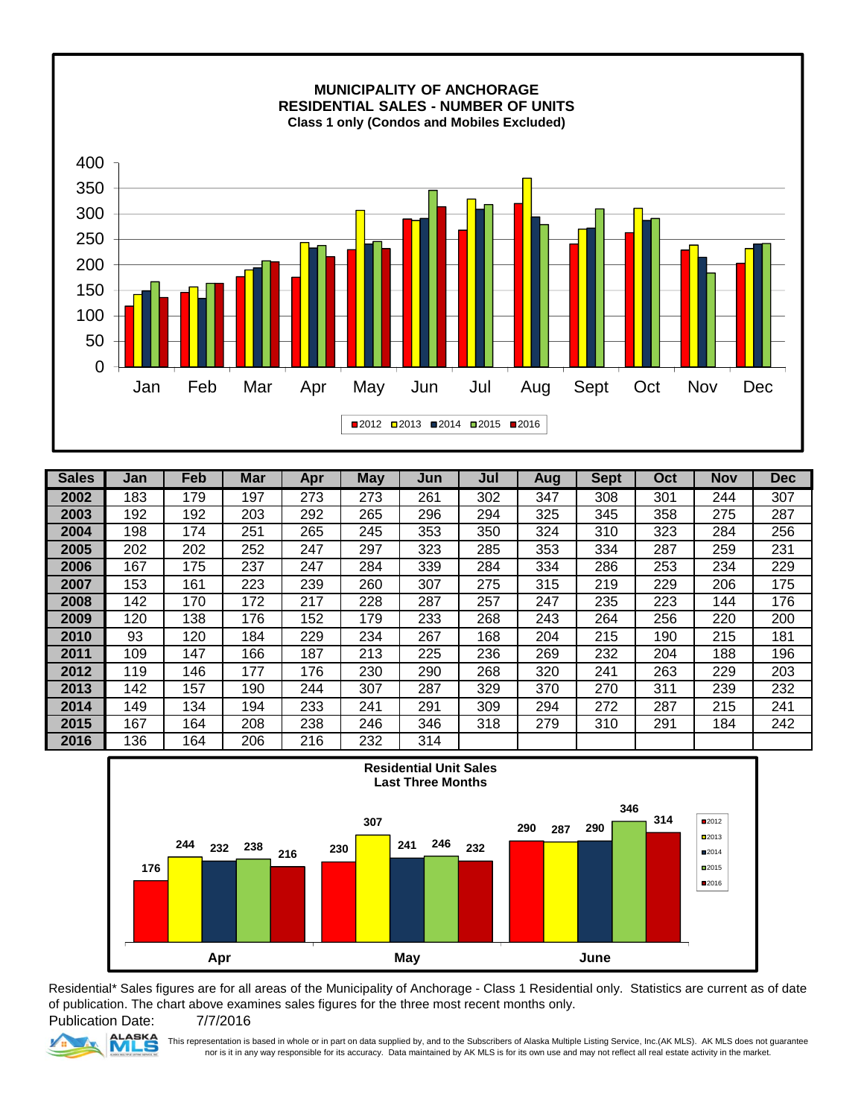

| <b>Sales</b> | Jan | Feb | <b>Mar</b> | Apr | <b>May</b> | Jun | Jul | Aug | <b>Sept</b> | Oct | <b>Nov</b> | <b>Dec</b> |
|--------------|-----|-----|------------|-----|------------|-----|-----|-----|-------------|-----|------------|------------|
| 2002         | 183 | 179 | 197        | 273 | 273        | 261 | 302 | 347 | 308         | 301 | 244        | 307        |
| 2003         | 192 | 192 | 203        | 292 | 265        | 296 | 294 | 325 | 345         | 358 | 275        | 287        |
| 2004         | 198 | 174 | 251        | 265 | 245        | 353 | 350 | 324 | 310         | 323 | 284        | 256        |
| 2005         | 202 | 202 | 252        | 247 | 297        | 323 | 285 | 353 | 334         | 287 | 259        | 231        |
| 2006         | 167 | 175 | 237        | 247 | 284        | 339 | 284 | 334 | 286         | 253 | 234        | 229        |
| 2007         | 153 | 161 | 223        | 239 | 260        | 307 | 275 | 315 | 219         | 229 | 206        | 175        |
| 2008         | 142 | 170 | 172        | 217 | 228        | 287 | 257 | 247 | 235         | 223 | 144        | 176        |
| 2009         | 120 | 138 | 176        | 152 | 179        | 233 | 268 | 243 | 264         | 256 | 220        | 200        |
| 2010         | 93  | 120 | 184        | 229 | 234        | 267 | 168 | 204 | 215         | 190 | 215        | 181        |
| 2011         | 109 | 147 | 166        | 187 | 213        | 225 | 236 | 269 | 232         | 204 | 188        | 196        |
| 2012         | 119 | 146 | 177        | 176 | 230        | 290 | 268 | 320 | 241         | 263 | 229        | 203        |
| 2013         | 142 | 157 | 190        | 244 | 307        | 287 | 329 | 370 | 270         | 311 | 239        | 232        |
| 2014         | 149 | 134 | 194        | 233 | 241        | 291 | 309 | 294 | 272         | 287 | 215        | 241        |
| 2015         | 167 | 164 | 208        | 238 | 246        | 346 | 318 | 279 | 310         | 291 | 184        | 242        |
| 2016         | 136 | 164 | 206        | 216 | 232        | 314 |     |     |             |     |            |            |



Residential\* Sales figures are for all areas of the Municipality of Anchorage - Class 1 Residential only. Statistics are current as of date of publication. The chart above examines sales figures for the three most recent months only.

Publication Date: **ASKA** 

7/7/2016

This representation is based in whole or in part on data supplied by, and to the Subscribers of Alaska Multiple Listing Service, Inc.(AK MLS). AK MLS does not guarantee nor is it in any way responsible for its accuracy. Data maintained by AK MLS is for its own use and may not reflect all real estate activity in the market.